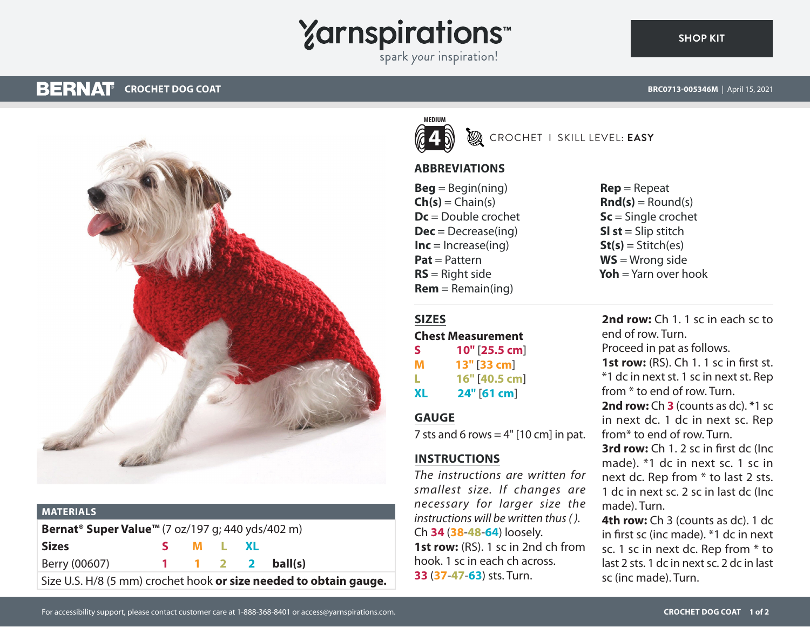# **Yarnspirations**

spark your inspiration!

#### **BERNAT CROCHET DOG COAT BRC0713-005346M** | April 15, 2021

**[SHOP KIT](https://www.yarnspirations.com/BRC0713-005346M.html#utm_source=pdf-yarnspirations&utm_medium=referral)**



| <b>MATERIALS</b>                                                         |  |          |  |  |                 |
|--------------------------------------------------------------------------|--|----------|--|--|-----------------|
| Bernat <sup>®</sup> Super Value <sup>™</sup> (7 oz/197 g; 440 yds/402 m) |  |          |  |  |                 |
| <b>Sizes</b>                                                             |  | S M L XL |  |  |                 |
| Berry (00607)                                                            |  |          |  |  | 1 1 2 2 ball(s) |
| Size U.S. H/8 (5 mm) crochet hook or size needed to obtain gauge.        |  |          |  |  |                 |



**SIZES**

**GAUGE**

**INSTRUCTIONS**

## **B** CROCHET I SKILL LEVEL: EASY

## **ABBREVIATIONS**

 $Beq = Beqin(ning)$  $Ch(s) = Chain(s)$ **Dc** = Double crochet **Dec** = Decrease(ing)  $Inc = Increase(ina)$ **Pat** = Pattern **RS** = Right side  $Rem = Remain(ing)$ 

**Chest Measurement S 10"** [**25.5 cm**] **M 13"** [**33 cm**] **L 16"** [**40.5 cm**] **XL 24"** [**61 cm**]

7 sts and 6 rows  $= 4"$  [10 cm] in pat.

*The instructions are written for smallest size. If changes are necessary for larger size the instructions will be written thus ( ).*

**1st row:** (RS). 1 sc in 2nd ch from hook. 1 sc in each ch across. **33** (**37**-**47**-**63**) sts. Turn.

Ch **34** (**38**-**48**-**64**) loosely.

**Rep** = Repeat  $\mathbf{Rnd}(s) = \text{Round}(s)$ **Sc** = Single crochet **Sl st** = Slip stitch  $St(s) = Stitch(es)$ **WS** = Wrong side **Yoh** = Yarn over hook

**2nd row:** Ch 1. 1 sc in each sc to end of row. Turn. Proceed in pat as follows. **1st row:** (RS). Ch 1. 1 sc in first st. \*1 dc in next st. 1 sc in next st. Rep from \* to end of row. Turn. **2nd row:** Ch **3** (counts as dc). \*1 sc in next dc. 1 dc in next sc. Rep from\* to end of row. Turn. **3rd row:** Ch 1. 2 sc in first dc (Inc made). \*1 dc in next sc. 1 sc in

next dc. Rep from \* to last 2 sts. 1 dc in next sc. 2 sc in last dc (Inc made). Turn.

**4th row:** Ch 3 (counts as dc). 1 dc in first sc (inc made). \*1 dc in next sc. 1 sc in next dc. Rep from \* to last 2 sts. 1 dc in next sc. 2 dc in last sc (inc made). Turn.